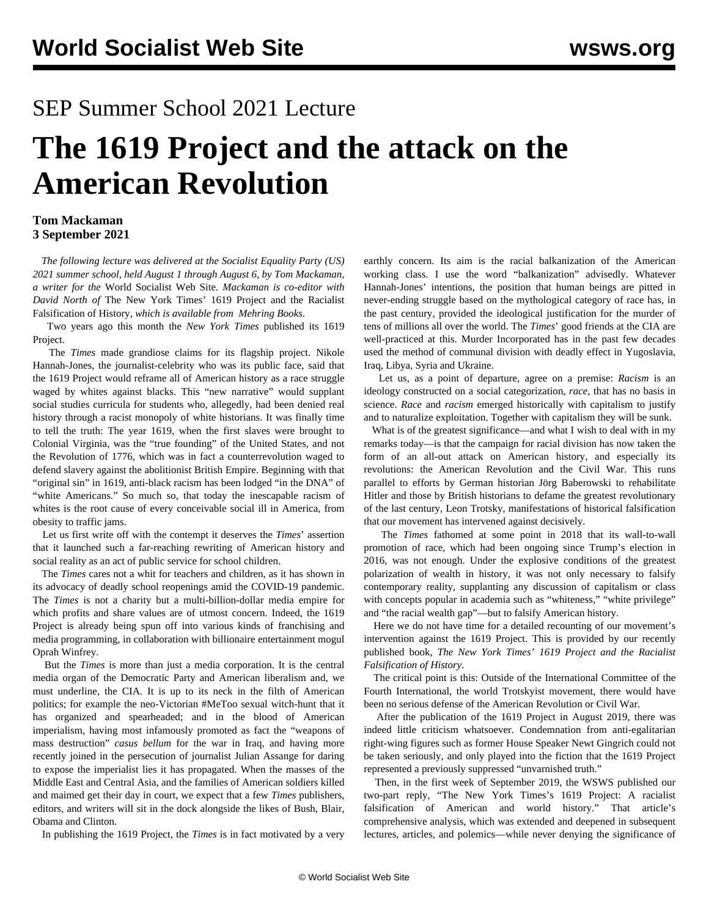## SEP Summer School 2021 Lecture

# **The 1619 Project and the attack on the American Revolution**

#### **Tom Mackaman 3 September 2021**

 *The following lecture was delivered at the Socialist Equality Party (US) 2021 summer school, held August 1 through August 6, by Tom Mackaman, a writer for the* World Socialist Web Site*. Mackaman is co-editor with David North of* The New York Times' 1619 Project and the Racialist Falsification of History*, which is available from [Mehring Books](https://mehring.com/product/the-new-york-times-1619-project-and-the-racialist-falsification-of-history/)*.

 Two years ago this month the *New York Times* published its 1619 Project.

 The *Times* made grandiose claims for its flagship project. Nikole Hannah-Jones, the journalist-celebrity who was its public face, said that the 1619 Project would reframe all of American history as a race struggle waged by whites against blacks. This "new narrative" would supplant social studies curricula for students who, allegedly, had been denied real history through a racist monopoly of white historians. It was finally time to tell the truth: The year 1619, when the first slaves were brought to Colonial Virginia, was the "true founding" of the United States, and not the Revolution of 1776, which was in fact a counterrevolution waged to defend slavery against the abolitionist British Empire. Beginning with that "original sin" in 1619, anti-black racism has been lodged "in the DNA" of "white Americans." So much so, that today the inescapable racism of whites is the root cause of every conceivable social ill in America, from obesity to traffic jams.

 Let us first write off with the contempt it deserves the *Times*' assertion that it launched such a far-reaching rewriting of American history and social reality as an act of public service for school children.

 The *Times* cares not a whit for teachers and children, as it has shown in its advocacy of deadly school reopenings amid the COVID-19 pandemic. The *Times* is not a charity but a multi-billion-dollar media empire for which profits and share values are of utmost concern. Indeed, the 1619 Project is already being spun off into various kinds of franchising and media programming, in collaboration with billionaire entertainment mogul Oprah Winfrey.

 But the *Times* is more than just a media corporation. It is the central media organ of the Democratic Party and American liberalism and, we must underline, the CIA. It is up to its neck in the filth of American politics; for example the neo-Victorian #MeToo sexual witch-hunt that it has organized and spearheaded; and in the blood of American imperialism, having most infamously promoted as fact the "weapons of mass destruction" *casus bellum* for the war in Iraq, and having more recently joined in the persecution of journalist Julian Assange for daring to expose the imperialist lies it has propagated. When the masses of the Middle East and Central Asia, and the families of American soldiers killed and maimed get their day in court, we expect that a few *Times* publishers, editors, and writers will sit in the dock alongside the likes of Bush, Blair, Obama and Clinton.

In publishing the 1619 Project, the *Times* is in fact motivated by a very

earthly concern. Its aim is the racial balkanization of the American working class. I use the word "balkanization" advisedly. Whatever Hannah-Jones' intentions, the position that human beings are pitted in never-ending struggle based on the mythological category of race has, in the past century, provided the ideological justification for the murder of tens of millions all over the world. The *Times*' good friends at the CIA are well-practiced at this. Murder Incorporated has in the past few decades used the method of communal division with deadly effect in Yugoslavia, Iraq, Libya, Syria and Ukraine.

 Let us, as a point of departure, agree on a premise: *Racism* is an ideology constructed on a social categorization, *race*, that has no basis in science. *Race* and *racism* emerged historically with capitalism to justify and to naturalize exploitation. Together with capitalism they will be sunk.

 What is of the greatest significance—and what I wish to deal with in my remarks today—is that the campaign for racial division has now taken the form of an all-out attack on American history, and especially its revolutions: the American Revolution and the Civil War. This runs parallel to efforts by German historian Jörg Baberowski to rehabilitate Hitler and those by British historians to defame the greatest revolutionary of the last century, Leon Trotsky, manifestations of historical falsification that our movement has intervened against decisively.

 The *Times* fathomed at some point in 2018 that its wall-to-wall promotion of race, which had been ongoing since Trump's election in 2016, was not enough. Under the explosive conditions of the greatest polarization of wealth in history, it was not only necessary to falsify contemporary reality, supplanting any discussion of capitalism or class with concepts popular in academia such as "whiteness," "white privilege" and "the racial wealth gap"—but to falsify American history.

 Here we do not have time for a detailed recounting of our movement's intervention against the 1619 Project. This is provided by our recently published book, *[The](https://mehring.com/product/the-new-york-times-1619-project-and-the-racialist-falsification-of-history/) [New York Times' 1619 Project and the Racialist](https://mehring.com/product/the-new-york-times-1619-project-and-the-racialist-falsification-of-history/) [Falsification of History](https://mehring.com/product/the-new-york-times-1619-project-and-the-racialist-falsification-of-history/)*.

 The critical point is this: Outside of the International Committee of the Fourth International, the world Trotskyist movement, there would have been no serious defense of the American Revolution or Civil War.

 After the publication of the 1619 Project in August 2019, there was indeed little criticism whatsoever. Condemnation from anti-egalitarian right-wing figures such as former House Speaker Newt Gingrich could not be taken seriously, and only played into the fiction that the 1619 Project represented a previously suppressed "unvarnished truth."

 Then, in the first week of September 2019, the WSWS published our two-part reply, "[The New York Times's 1619 Project: A racialist](/en/articles/2019/09/06/1619-s06.html) [falsification of American and world history](/en/articles/2019/09/06/1619-s06.html)." That article's comprehensive analysis, which was extended and deepened in subsequent lectures, articles, and polemics—while never denying the significance of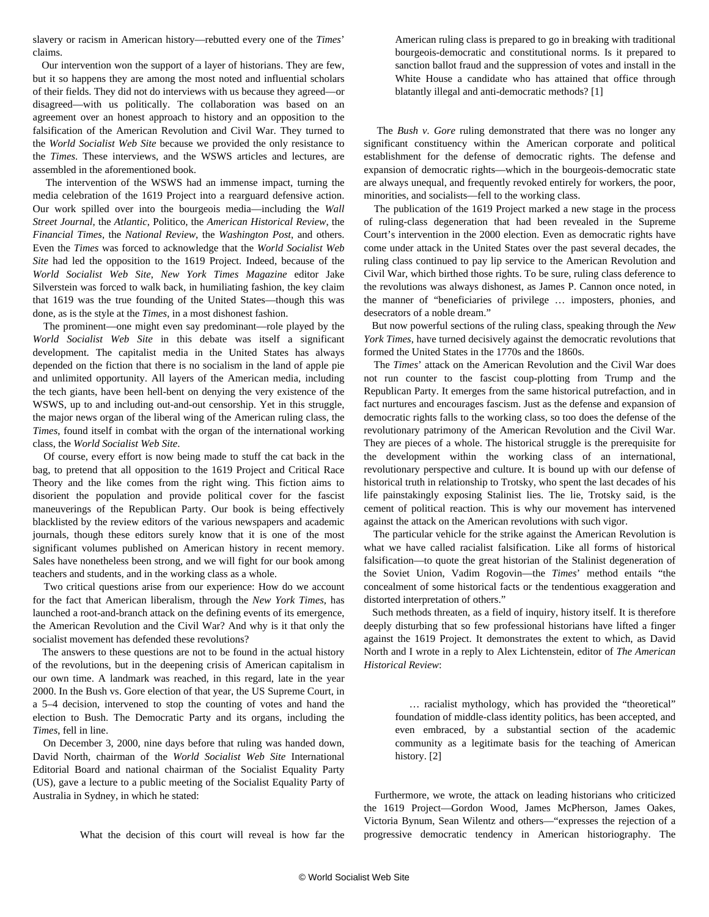slavery or racism in American history—rebutted every one of the *Times*' claims.

 Our intervention won the support of a layer of historians. They are few, but it so happens they are among the most noted and influential scholars of their fields. They did not do interviews with us because they agreed—or disagreed—with us politically. The collaboration was based on an agreement over an honest approach to history and an opposition to the falsification of the American Revolution and Civil War. They turned to the *World Socialist Web Site* because we provided the only resistance to the *Times*. These interviews, and the WSWS articles and lectures, are assembled in th[e aforementioned book](https://mehring.com/product/the-new-york-times-1619-project-and-the-racialist-falsification-of-history/).

 The intervention of the WSWS had an immense impact, turning the media celebration of the 1619 Project into a rearguard defensive action. Our work spilled over into the bourgeois media—including the *Wall Street Journal*, the *Atlantic*, Politico, the *American Historical Review*, the *Financial Times*, the *National Review*, the *Washington Post*, and others. Even the *Times* was forced to acknowledge that the *World Socialist Web Site* had led the opposition to the 1619 Project. Indeed, because of the *World Socialist Web Site*, *New York Times Magazine* editor Jake Silverstein was forced to walk back, in humiliating fashion, the key claim that 1619 was the true founding of the United States—though this was done, as is the style at the *Times*, in a most [dishonest fashion.](/en/articles/2020/10/23/1619-o23.html)

 The prominent—one might even say predominant—role played by the *World Socialist Web Site* in this debate was itself a significant development. The capitalist media in the United States has always depended on the fiction that there is no socialism in the land of apple pie and unlimited opportunity. All layers of the American media, including the tech giants, have been hell-bent on denying the very existence of the WSWS, up to and including out-and-out [censorship](/en/articles/2020/11/04/goog-n04.html). Yet in this struggle, the major news organ of the liberal wing of the American ruling class, the *Times*, found itself in combat with the organ of the international working class, the *World Socialist Web Site*.

 Of course, every effort is now being made to stuff the cat back in the bag, to pretend that all opposition to the 1619 Project and Critical Race Theory and the like comes from the right wing. This fiction aims to disorient the population and provide political cover for the fascist maneuverings of the Republican Party. Our book is being effectively blacklisted by the review editors of the various newspapers and academic journals, though these editors surely know that it is one of the most significant volumes published on American history in recent memory. Sales have nonetheless been strong, and we will fight for our book among teachers and students, and in the working class as a whole.

 Two critical questions arise from our experience: How do we account for the fact that American liberalism, through the *New York Times*, has launched a root-and-branch attack on the defining events of its emergence, the American Revolution and the Civil War? And why is it that only the socialist movement has defended these revolutions?

 The answers to these questions are not to be found in the actual history of the revolutions, but in the deepening crisis of American capitalism in our own time. A landmark was reached, in this regard, late in the year 2000. In the Bush vs. Gore election of that year, the US Supreme Court, in a 5–4 decision, intervened to stop the counting of votes and hand the election to Bush. The Democratic Party and its organs, including the *Times*, fell in line.

 On December 3, 2000, nine days before that ruling was handed down, David North, chairman of the *World Socialist Web Site* International Editorial Board and national chairman of the Socialist Equality Party (US), gave a lecture to a public meeting of the Socialist Equality Party of Australia in Sydney, in which he stated:

What the decision of this court will reveal is how far the

American ruling class is prepared to go in breaking with traditional bourgeois-democratic and constitutional norms. Is it prepared to sanction ballot fraud and the suppression of votes and install in the White House a candidate who has attained that office through blatantly illegal and anti-democratic methods? [1]

 The *Bush v. Gore* ruling demonstrated that there was no longer any significant constituency within the American corporate and political establishment for the defense of democratic rights. The defense and expansion of democratic rights—which in the bourgeois-democratic state are always unequal, and frequently revoked entirely for workers, the poor, minorities, and socialists—fell to the working class.

 The publication of the 1619 Project marked a new stage in the process of ruling-class degeneration that had been revealed in the Supreme Court's intervention in the 2000 election. Even as democratic rights have come under attack in the United States over the past several decades, the ruling class continued to pay lip service to the American Revolution and Civil War, which birthed those rights. To be sure, ruling class deference to the revolutions was always dishonest, as James P. Cannon once noted, in the manner of "beneficiaries of privilege … imposters, phonies, and desecrators of a noble dream."

 But now powerful sections of the ruling class, speaking through the *New York Times*, have turned decisively against the democratic revolutions that formed the United States in the 1770s and the 1860s.

 The *Times*' attack on the American Revolution and the Civil War does not run counter to the fascist coup-plotting from Trump and the Republican Party. It emerges from the same historical putrefaction, and in fact nurtures and encourages fascism. Just as the defense and expansion of democratic rights falls to the working class, so too does the defense of the revolutionary patrimony of the American Revolution and the Civil War. They are pieces of a whole. The historical struggle is the prerequisite for the development within the working class of an international, revolutionary perspective and culture. It is bound up with our defense of historical truth in relationship to Trotsky, who spent the last decades of his life painstakingly exposing Stalinist lies. The lie, Trotsky said, is the cement of political reaction. This is why our movement has intervened against the attack on the American revolutions with such vigor.

 The particular vehicle for the strike against the American Revolution is what we have called racialist falsification. Like all forms of historical falsification—to quote the great historian of the Stalinist degeneration of the Soviet Union, Vadim Rogovin—the *Times*' method entails "the concealment of some historical facts or the tendentious exaggeration and distorted interpretation of others."

 Such methods threaten, as a field of inquiry, history itself. It is therefore deeply disturbing that so few professional historians have lifted a finger against the 1619 Project. It demonstrates the extent to which, as David North and I wrote in a reply to Alex Lichtenstein, editor of *The American Historical Review*:

 … racialist mythology, which has provided the "theoretical" foundation of middle-class identity politics, has been accepted, and even embraced, by a substantial section of the academic community as a legitimate basis for the teaching of American history. [2]

 Furthermore, we wrote, the attack on leading historians who criticized the 1619 Project—Gordon Wood, James McPherson, James Oakes, Victoria Bynum, Sean Wilentz and others—"expresses the rejection of a progressive democratic tendency in American historiography. The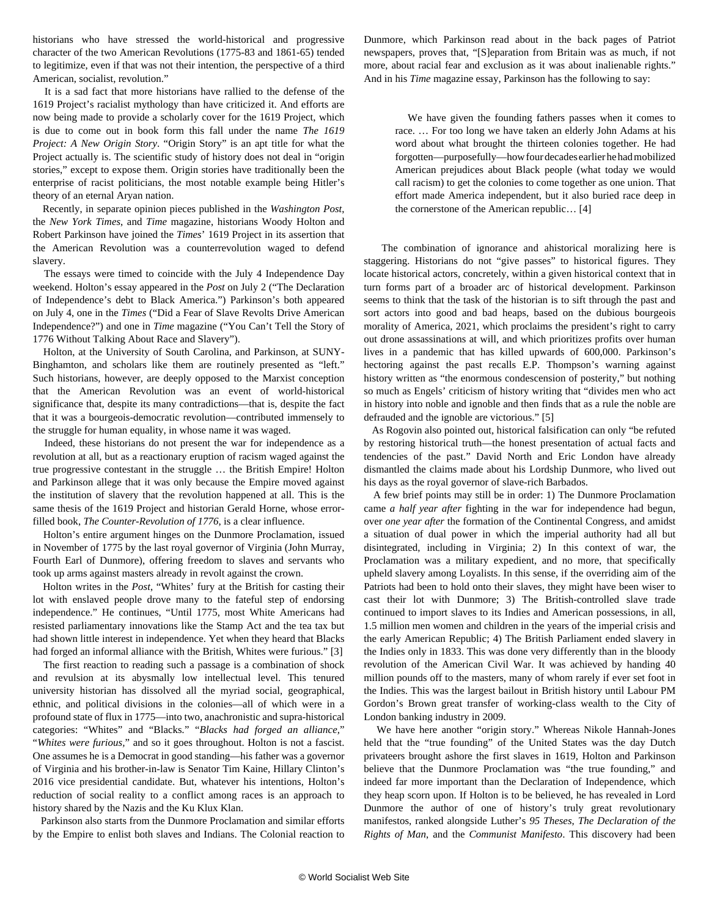historians who have stressed the world-historical and progressive character of the two American Revolutions (1775-83 and 1861-65) tended to legitimize, even if that was not their intention, the perspective of a third American, socialist, revolution."

 It is a sad fact that more historians have rallied to the defense of the 1619 Project's racialist mythology than have criticized it. And efforts are now being made to provide a scholarly cover for the 1619 Project, which is due to come out in book form this fall under the name *The 1619 Project: A New Origin Story*. "Origin Story" is an apt title for what the Project actually is. The scientific study of history does not deal in "origin stories," except to expose them. Origin stories have traditionally been the enterprise of racist politicians, the most notable example being Hitler's theory of an eternal Aryan nation.

 Recently, in separate opinion pieces published in the *Washington Post*, the *New York Times*, and *Time* magazine, historians Woody Holton and Robert Parkinson have joined the *Times*' 1619 Project in its assertion that the American Revolution was a counterrevolution waged to defend slavery.

 The essays were timed to coincide with the July 4 Independence Day weekend. Holton's essay appeared in the *Post* on July 2 ("The Declaration of Independence's debt to Black America.") Parkinson's both appeared on July 4, one in the *Times* ("Did a Fear of Slave Revolts Drive American Independence?") and one in *Time* magazine ("You Can't Tell the Story of 1776 Without Talking About Race and Slavery").

 Holton, at the University of South Carolina, and Parkinson, at SUNY-Binghamton, and scholars like them are routinely presented as "left." Such historians, however, are deeply opposed to the Marxist conception that the American Revolution was an event of world-historical significance that, despite its many contradictions—that is, despite the fact that it was a bourgeois-democratic revolution—contributed immensely to the struggle for human equality, in whose name it was waged.

 Indeed, these historians do not present the war for independence as a revolution at all, but as a reactionary eruption of racism waged against the true progressive contestant in the struggle … the British Empire! Holton and Parkinson allege that it was only because the Empire moved against the institution of slavery that the revolution happened at all. This is the same thesis of the 1619 Project and historian Gerald Horne, whose errorfilled book, *[The Counter-Revolution of 1776](/en/articles/2021/03/18/horn-m18.html)*, is a clear influence.

 Holton's entire argument hinges on the Dunmore Proclamation, issued in November of 1775 by the last royal governor of Virginia (John Murray, Fourth Earl of Dunmore), offering freedom to slaves and servants who took up arms against masters already in revolt against the crown.

 Holton writes in the *Post*, "Whites' fury at the British for casting their lot with enslaved people drove many to the fateful step of endorsing independence." He continues, "Until 1775, most White Americans had resisted parliamentary innovations like the Stamp Act and the tea tax but had shown little interest in independence. Yet when they heard that Blacks had forged an informal alliance with the British, Whites were furious." [3]

 The first reaction to reading such a passage is a combination of shock and revulsion at its abysmally low intellectual level. This tenured university historian has dissolved all the myriad social, geographical, ethnic, and political divisions in the colonies—all of which were in a profound state of flux in 1775—into two, anachronistic and supra-historical categories: "Whites" and "Blacks*.*" "*Blacks had forged an alliance,*" "*Whites were furious,*" and so it goes throughout. Holton is not a fascist. One assumes he is a Democrat in good standing—his father was a governor of Virginia and his brother-in-law is Senator Tim Kaine, Hillary Clinton's 2016 vice presidential candidate. But, whatever his intentions, Holton's reduction of social reality to a conflict among races is an approach to history shared by the Nazis and the Ku Klux Klan.

 Parkinson also starts from the Dunmore Proclamation and similar efforts by the Empire to enlist both slaves and Indians. The Colonial reaction to Dunmore, which Parkinson read about in the back pages of Patriot newspapers, proves that, "[S]eparation from Britain was as much, if not more, about racial fear and exclusion as it was about inalienable rights." And in his *Time* magazine essay, Parkinson has the following to say:

 We have given the founding fathers passes when it comes to race. … For too long we have taken an elderly John Adams at his word about what brought the thirteen colonies together. He had forgotten—purposefully—how four decades earlier he had mobilized American prejudices about Black people (what today we would call racism) to get the colonies to come together as one union. That effort made America independent, but it also buried race deep in the cornerstone of the American republic… [4]

 The combination of ignorance and ahistorical moralizing here is staggering. Historians do not "give passes" to historical figures. They locate historical actors, concretely, within a given historical context that in turn forms part of a broader arc of historical development. Parkinson seems to think that the task of the historian is to sift through the past and sort actors into good and bad heaps, based on the dubious bourgeois morality of America, 2021, which proclaims the president's right to carry out drone assassinations at will, and which prioritizes profits over human lives in a pandemic that has killed upwards of 600,000. Parkinson's hectoring against the past recalls E.P. Thompson's warning against history written as "the enormous condescension of posterity," but nothing so much as Engels' criticism of history writing that "divides men who act in history into noble and ignoble and then finds that as a rule the noble are defrauded and the ignoble are victorious." [5]

 As Rogovin also pointed out, historical falsification can only "be refuted by restoring historical truth—the honest presentation of actual facts and tendencies of the past." David North and Eric London have already [dismantled](/en/articles/2020/01/24/mehr-j24.html) the claims made about his Lordship Dunmore, who lived out his days as the royal governor of slave-rich Barbados.

 A few brief points may still be in order: 1) The Dunmore Proclamation came *a half year after* fighting in the war for independence had begun, over *one year after* the formation of the Continental Congress, and amidst a situation of dual power in which the imperial authority had all but disintegrated, including in Virginia; 2) In this context of war, the Proclamation was a military expedient, and no more, that specifically upheld slavery among Loyalists. In this sense, if the overriding aim of the Patriots had been to hold onto their slaves, they might have been wiser to cast their lot with Dunmore; 3) The British-controlled slave trade continued to import slaves to its Indies and American possessions, in all, 1.5 million men women and children in the years of the imperial crisis and the early American Republic; 4) The British Parliament ended slavery in the Indies only in 1833. This was done very differently than in the bloody revolution of the American Civil War. It was achieved by handing 40 million pounds off to the masters, many of whom rarely if ever set foot in the Indies. This was the largest bailout in British history until Labour PM Gordon's Brown great transfer of working-class wealth to the City of London banking industry in 2009.

 We have here another "origin story." Whereas Nikole Hannah-Jones held that the "true founding" of the United States was the day Dutch privateers brought ashore the first slaves in 1619, Holton and Parkinson believe that the Dunmore Proclamation was "the true founding," and indeed far more important than the Declaration of Independence, which they heap scorn upon. If Holton is to be believed, he has revealed in Lord Dunmore the author of one of history's truly great revolutionary manifestos, ranked alongside Luther's *95 Theses*, *The Declaration of the Rights of Man*, and the *Communist Manifesto*. This discovery had been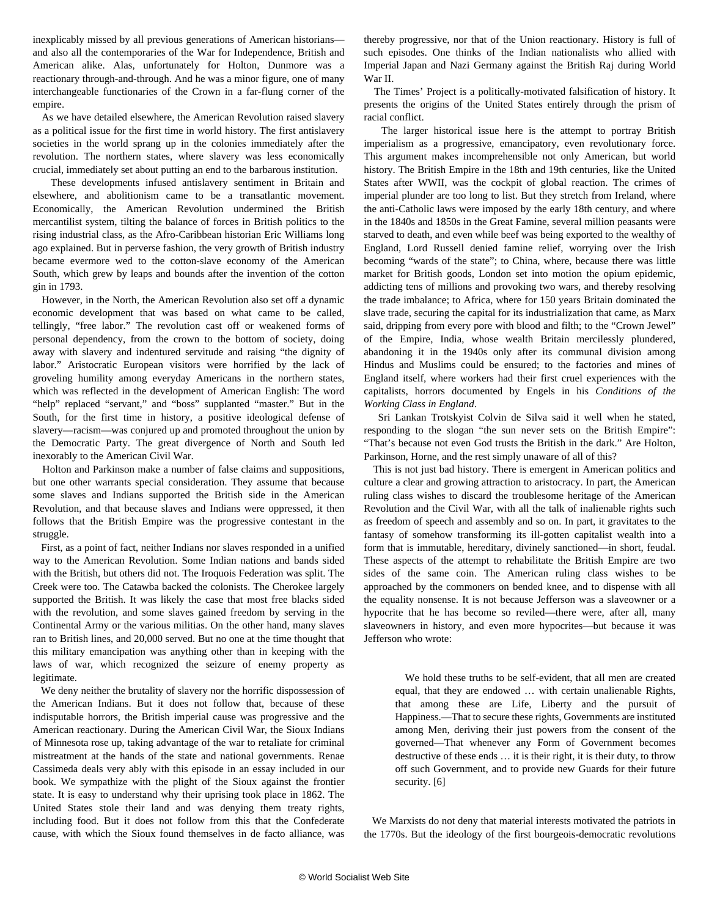inexplicably missed by all previous generations of American historians and also all the contemporaries of the War for Independence, British and American alike. Alas, unfortunately for Holton, Dunmore was a reactionary through-and-through. And he was a minor figure, one of many interchangeable functionaries of the Crown in a far-flung corner of the empire.

 As we have detailed elsewhere, the American Revolution raised slavery as a political issue for the first time in world history. The first antislavery societies in the world sprang up in the colonies immediately after the revolution. The northern states, where slavery was less economically crucial, immediately set about putting an end to the barbarous institution.

 These developments infused antislavery sentiment in Britain and elsewhere, and abolitionism came to be a transatlantic movement. Economically, the American Revolution undermined the British mercantilist system, tilting the balance of forces in British politics to the rising industrial class, as the Afro-Caribbean historian Eric Williams long ago explained. But in perverse fashion, the very growth of British industry became evermore wed to the cotton-slave economy of the American South, which grew by leaps and bounds after the invention of the cotton gin in 1793.

 However, in the North, the American Revolution also set off a dynamic economic development that was based on what came to be called, tellingly, "free labor." The revolution cast off or weakened forms of personal dependency, from the crown to the bottom of society, doing away with slavery and indentured servitude and raising "the dignity of labor." Aristocratic European visitors were horrified by the lack of groveling humility among everyday Americans in the northern states, which was reflected in the development of American English: The word "help" replaced "servant," and "boss" supplanted "master." But in the South, for the first time in history, a positive ideological defense of slavery—racism—was conjured up and promoted throughout the union by the Democratic Party. The great divergence of North and South led inexorably to the American Civil War.

 Holton and Parkinson make a number of false claims and suppositions, but one other warrants special consideration. They assume that because some slaves and Indians supported the British side in the American Revolution, and that because slaves and Indians were oppressed, it then follows that the British Empire was the progressive contestant in the struggle.

 First, as a point of fact, neither Indians nor slaves responded in a unified way to the American Revolution. Some Indian nations and bands sided with the British, but others did not. The Iroquois Federation was split. The Creek were too. The Catawba backed the colonists. The Cherokee largely supported the British. It was likely the case that most free blacks sided with the revolution, and some slaves gained freedom by serving in the Continental Army or the various militias. On the other hand, many slaves ran to British lines, and 20,000 served. But no one at the time thought that this military emancipation was anything other than in keeping with the laws of war, which recognized the seizure of enemy property as legitimate.

 We deny neither the brutality of slavery nor the horrific dispossession of the American Indians. But it does not follow that, because of these indisputable horrors, the British imperial cause was progressive and the American reactionary. During the American Civil War, the Sioux Indians of Minnesota rose up, taking advantage of the war to retaliate for criminal mistreatment at the hands of the state and national governments. Renae Cassimeda deals very ably with this episode in an essay included in our book. We sympathize with the plight of the Sioux against the frontier state. It is easy to understand why their uprising took place in 1862. The United States stole their land and was denying them treaty rights, including food. But it does not follow from this that the Confederate cause, with which the Sioux found themselves in de facto alliance, was thereby progressive, nor that of the Union reactionary. History is full of such episodes. One thinks of the Indian nationalists who allied with Imperial Japan and Nazi Germany against the British Raj during World War II.

 The Times' Project is a politically-motivated falsification of history. It presents the origins of the United States entirely through the prism of racial conflict.

 The larger historical issue here is the attempt to portray British imperialism as a progressive, emancipatory, even revolutionary force. This argument makes incomprehensible not only American, but world history. The British Empire in the 18th and 19th centuries, like the United States after WWII, was the cockpit of global reaction. The crimes of imperial plunder are too long to list. But they stretch from Ireland, where the anti-Catholic laws were imposed by the early 18th century, and where in the 1840s and 1850s in the Great Famine, several million peasants were starved to death, and even while beef was being exported to the wealthy of England, Lord Russell denied famine relief, worrying over the Irish becoming "wards of the state"; to China, where, because there was little market for British goods, London set into motion the opium epidemic, addicting tens of millions and provoking two wars, and thereby resolving the trade imbalance; to Africa, where for 150 years Britain dominated the slave trade, securing the capital for its industrialization that came, as Marx said, dripping from every pore with blood and filth; to the "Crown Jewel" of the Empire, India, whose wealth Britain mercilessly plundered, abandoning it in the 1940s only after its communal division among Hindus and Muslims could be ensured; to the factories and mines of England itself, where workers had their first cruel experiences with the capitalists, horrors documented by Engels in his *Conditions of the Working Class in England*.

 Sri Lankan Trotskyist Colvin de Silva said it well when he stated, responding to the slogan "the sun never sets on the British Empire": "That's because not even God trusts the British in the dark." Are Holton, Parkinson, Horne, and the rest simply unaware of all of this?

 This is not just bad history. There is emergent in American politics and culture a clear and growing attraction to aristocracy. In part, the American ruling class wishes to discard the troublesome heritage of the American Revolution and the Civil War, with all the talk of inalienable rights such as freedom of speech and assembly and so on. In part, it gravitates to the fantasy of somehow transforming its ill-gotten capitalist wealth into a form that is immutable, hereditary, divinely sanctioned—in short, feudal. These aspects of the attempt to rehabilitate the British Empire are two sides of the same coin. The American ruling class wishes to be approached by the commoners on bended knee, and to dispense with all the equality nonsense. It is not because Jefferson was a slaveowner or a hypocrite that he has become so reviled—there were, after all, many slaveowners in history, and even more hypocrites—but because it was Jefferson who wrote:

 We hold these truths to be self-evident, that all men are created equal, that they are endowed … with certain unalienable Rights, that among these are Life, Liberty and the pursuit of Happiness.—That to secure these rights, Governments are instituted among Men, deriving their just powers from the consent of the governed—That whenever any Form of Government becomes destructive of these ends … it is their right, it is their duty, to throw off such Government, and to provide new Guards for their future security. [6]

 We Marxists do not deny that material interests motivated the patriots in the 1770s. But the ideology of the first bourgeois-democratic revolutions